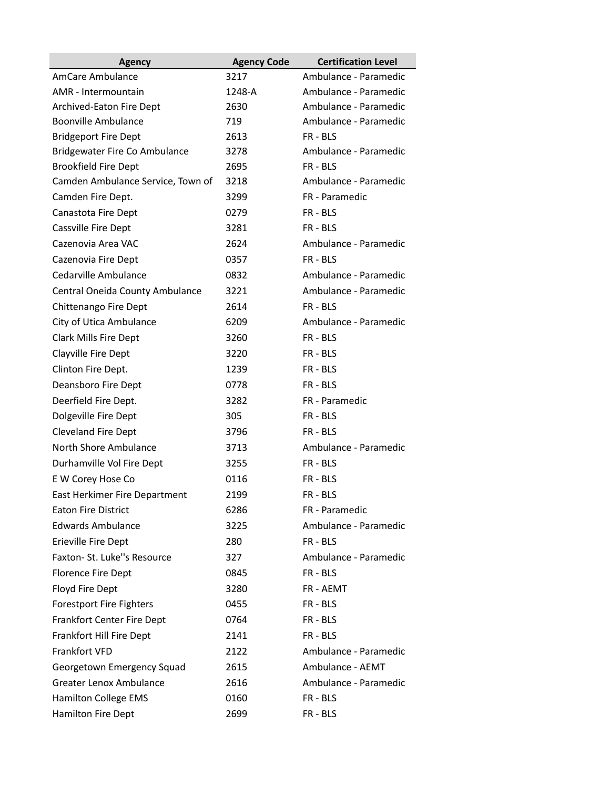| <b>Agency</b>                        | <b>Agency Code</b> | <b>Certification Level</b> |
|--------------------------------------|--------------------|----------------------------|
| AmCare Ambulance                     | 3217               | Ambulance - Paramedic      |
| AMR - Intermountain                  | 1248-A             | Ambulance - Paramedic      |
| Archived-Eaton Fire Dept             | 2630               | Ambulance - Paramedic      |
| <b>Boonville Ambulance</b>           | 719                | Ambulance - Paramedic      |
| <b>Bridgeport Fire Dept</b>          | 2613               | FR - BLS                   |
| <b>Bridgewater Fire Co Ambulance</b> | 3278               | Ambulance - Paramedic      |
| <b>Brookfield Fire Dept</b>          | 2695               | FR-BLS                     |
| Camden Ambulance Service, Town of    | 3218               | Ambulance - Paramedic      |
| Camden Fire Dept.                    | 3299               | FR - Paramedic             |
| Canastota Fire Dept                  | 0279               | FR - BLS                   |
| Cassville Fire Dept                  | 3281               | FR - BLS                   |
| Cazenovia Area VAC                   | 2624               | Ambulance - Paramedic      |
| Cazenovia Fire Dept                  | 0357               | FR - BLS                   |
| Cedarville Ambulance                 | 0832               | Ambulance - Paramedic      |
| Central Oneida County Ambulance      | 3221               | Ambulance - Paramedic      |
| Chittenango Fire Dept                | 2614               | FR - BLS                   |
| City of Utica Ambulance              | 6209               | Ambulance - Paramedic      |
| Clark Mills Fire Dept                | 3260               | FR - BLS                   |
| Clayville Fire Dept                  | 3220               | FR-BLS                     |
| Clinton Fire Dept.                   | 1239               | FR - BLS                   |
| Deansboro Fire Dept                  | 0778               | FR - BLS                   |
| Deerfield Fire Dept.                 | 3282               | FR - Paramedic             |
| Dolgeville Fire Dept                 | 305                | FR - BLS                   |
| <b>Cleveland Fire Dept</b>           | 3796               | FR - BLS                   |
| North Shore Ambulance                | 3713               | Ambulance - Paramedic      |
| Durhamville Vol Fire Dept            | 3255               | FR - BLS                   |
| E W Corey Hose Co                    | 0116               | FR-BLS                     |
| East Herkimer Fire Department        | 2199               | FR - BLS                   |
| <b>Eaton Fire District</b>           | 6286               | FR - Paramedic             |
| <b>Edwards Ambulance</b>             | 3225               | Ambulance - Paramedic      |
| Erieville Fire Dept                  | 280                | FR-BLS                     |
| Faxton- St. Luke"s Resource          | 327                | Ambulance - Paramedic      |
| <b>Florence Fire Dept</b>            | 0845               | FR-BLS                     |
| Floyd Fire Dept                      | 3280               | FR - AEMT                  |
| <b>Forestport Fire Fighters</b>      | 0455               | FR-BLS                     |
| Frankfort Center Fire Dept           | 0764               | FR - BLS                   |
| Frankfort Hill Fire Dept             | 2141               | FR-BLS                     |
| Frankfort VFD                        | 2122               | Ambulance - Paramedic      |
| Georgetown Emergency Squad           | 2615               | Ambulance - AEMT           |
| <b>Greater Lenox Ambulance</b>       | 2616               | Ambulance - Paramedic      |
| Hamilton College EMS                 | 0160               | FR-BLS                     |
| Hamilton Fire Dept                   | 2699               | FR - BLS                   |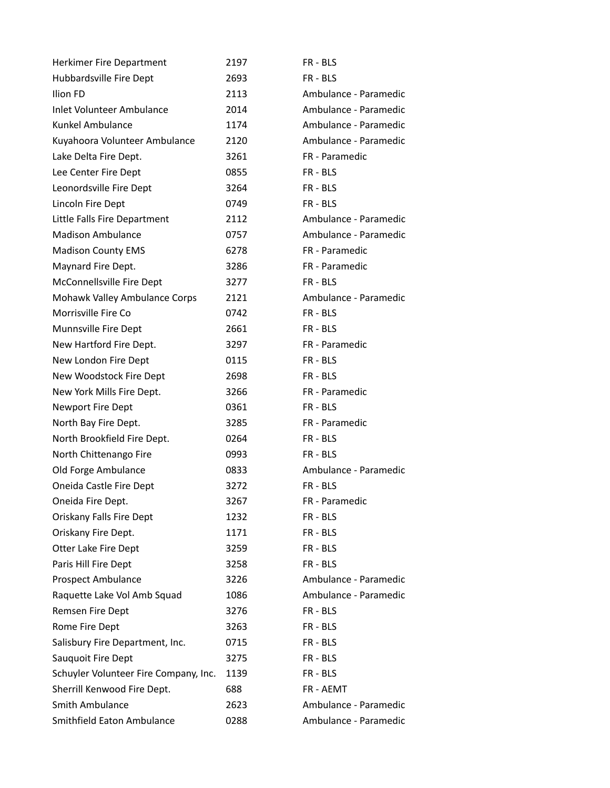| Herkimer Fire Department              | 2197 | FR-BLS                |
|---------------------------------------|------|-----------------------|
| Hubbardsville Fire Dept               | 2693 | FR-BLS                |
| Ilion FD                              | 2113 | Ambulance - Paramedic |
| <b>Inlet Volunteer Ambulance</b>      | 2014 | Ambulance - Paramedic |
| Kunkel Ambulance                      | 1174 | Ambulance - Paramedic |
| Kuyahoora Volunteer Ambulance         | 2120 | Ambulance - Paramedic |
| Lake Delta Fire Dept.                 | 3261 | FR - Paramedic        |
| Lee Center Fire Dept                  | 0855 | FR-BLS                |
| Leonordsville Fire Dept               | 3264 | FR-BLS                |
| Lincoln Fire Dept                     | 0749 | FR-BLS                |
| Little Falls Fire Department          | 2112 | Ambulance - Paramedic |
| <b>Madison Ambulance</b>              | 0757 | Ambulance - Paramedic |
| <b>Madison County EMS</b>             | 6278 | FR - Paramedic        |
| Maynard Fire Dept.                    | 3286 | FR - Paramedic        |
| McConnellsville Fire Dept             | 3277 | FR-BLS                |
| Mohawk Valley Ambulance Corps         | 2121 | Ambulance - Paramedic |
| Morrisville Fire Co                   | 0742 | FR-BLS                |
| Munnsville Fire Dept                  | 2661 | FR-BLS                |
| New Hartford Fire Dept.               | 3297 | FR - Paramedic        |
| New London Fire Dept                  | 0115 | FR-BLS                |
| New Woodstock Fire Dept               | 2698 | FR - BLS              |
| New York Mills Fire Dept.             | 3266 | FR - Paramedic        |
| Newport Fire Dept                     | 0361 | FR - BLS              |
| North Bay Fire Dept.                  | 3285 | FR - Paramedic        |
| North Brookfield Fire Dept.           | 0264 | FR-BLS                |
| North Chittenango Fire                | 0993 | FR - BLS              |
| Old Forge Ambulance                   | 0833 | Ambulance - Paramedic |
| Oneida Castle Fire Dept               | 3272 | FR - BLS              |
| Oneida Fire Dept.                     | 3267 | FR - Paramedic        |
| Oriskany Falls Fire Dept              | 1232 | FR - BLS              |
| Oriskany Fire Dept.                   | 1171 | FR - BLS              |
| Otter Lake Fire Dept                  | 3259 | FR - BLS              |
| Paris Hill Fire Dept                  | 3258 | FR - BLS              |
| Prospect Ambulance                    | 3226 | Ambulance - Paramedic |
| Raquette Lake Vol Amb Squad           | 1086 | Ambulance - Paramedic |
| Remsen Fire Dept                      | 3276 | FR - BLS              |
| Rome Fire Dept                        | 3263 | FR-BLS                |
| Salisbury Fire Department, Inc.       | 0715 | FR - BLS              |
| Sauquoit Fire Dept                    | 3275 | FR-BLS                |
| Schuyler Volunteer Fire Company, Inc. | 1139 | FR - BLS              |
| Sherrill Kenwood Fire Dept.           | 688  | FR - AEMT             |
| Smith Ambulance                       | 2623 | Ambulance - Paramedic |
| Smithfield Eaton Ambulance            | 0288 | Ambulance - Paramedic |